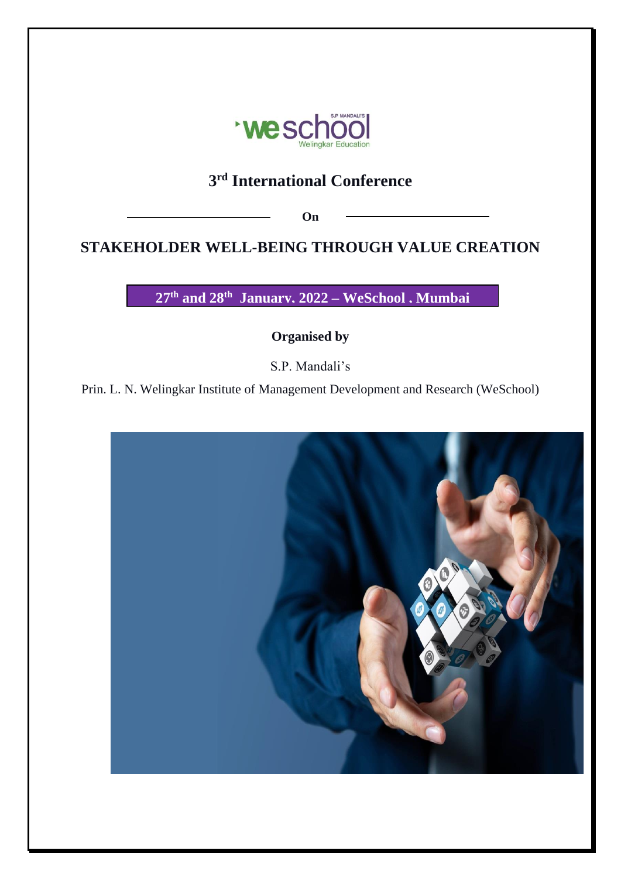

# **3 rd International Conference**

**On**

# **STAKEHOLDER WELL-BEING THROUGH VALUE CREATION**

**27 th and 28 th January, 2022 – WeSchool , Mumbai**

**Organised by** 

S.P. Mandali's

Prin. L. N. Welingkar Institute of Management Development and Research (WeSchool)

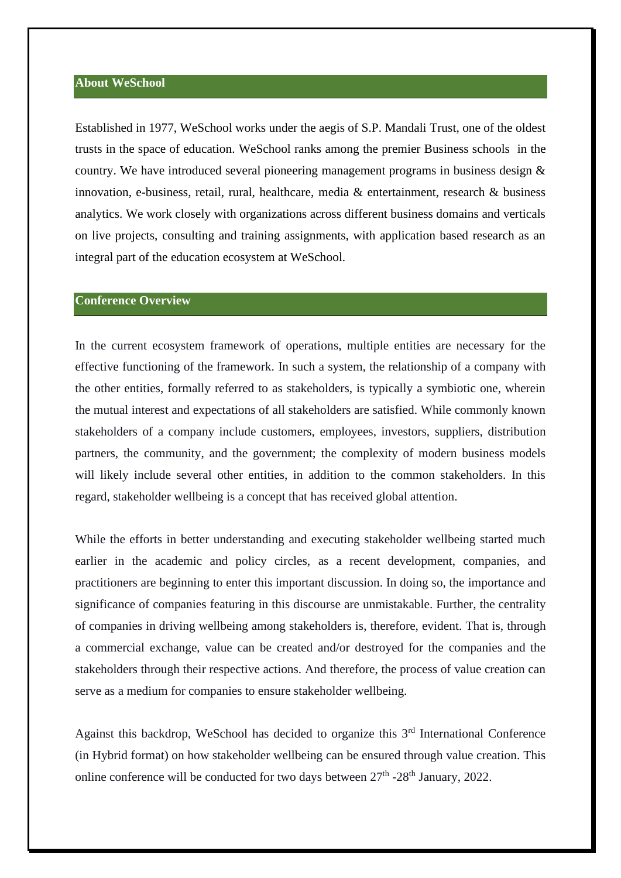## **About WeSchool**

Established in 1977, WeSchool works under the aegis of S.P. Mandali Trust, one of the oldest trusts in the space of education. WeSchool ranks among the premier Business schools in the country. We have introduced several pioneering management programs in business design & innovation, e-business, retail, rural, healthcare, media & entertainment, research & business analytics. We work closely with organizations across different business domains and verticals on live projects, consulting and training assignments, with application based research as an integral part of the education ecosystem at WeSchool.

#### **Conference Overview**

In the current ecosystem framework of operations, multiple entities are necessary for the effective functioning of the framework. In such a system, the relationship of a company with the other entities, formally referred to as stakeholders, is typically a symbiotic one, wherein the mutual interest and expectations of all stakeholders are satisfied. While commonly known stakeholders of a company include customers, employees, investors, suppliers, distribution partners, the community, and the government; the complexity of modern business models will likely include several other entities, in addition to the common stakeholders. In this regard, stakeholder wellbeing is a concept that has received global attention.

While the efforts in better understanding and executing stakeholder wellbeing started much earlier in the academic and policy circles, as a recent development, companies, and practitioners are beginning to enter this important discussion. In doing so, the importance and significance of companies featuring in this discourse are unmistakable. Further, the centrality of companies in driving wellbeing among stakeholders is, therefore, evident. That is, through a commercial exchange, value can be created and/or destroyed for the companies and the stakeholders through their respective actions. And therefore, the process of value creation can serve as a medium for companies to ensure stakeholder wellbeing.

Against this backdrop, WeSchool has decided to organize this 3<sup>rd</sup> International Conference (in Hybrid format) on how stakeholder wellbeing can be ensured through value creation. This online conference will be conducted for two days between  $27<sup>th</sup>$  -28<sup>th</sup> January, 2022.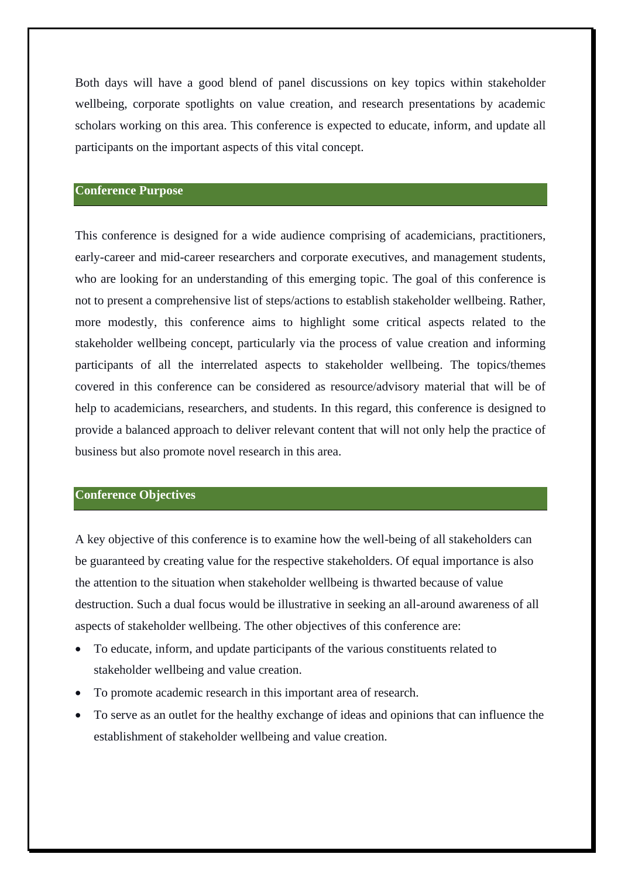Both days will have a good blend of panel discussions on key topics within stakeholder wellbeing, corporate spotlights on value creation, and research presentations by academic scholars working on this area. This conference is expected to educate, inform, and update all participants on the important aspects of this vital concept.

#### **Conference Purpose**

This conference is designed for a wide audience comprising of academicians, practitioners, early-career and mid-career researchers and corporate executives, and management students, who are looking for an understanding of this emerging topic. The goal of this conference is not to present a comprehensive list of steps/actions to establish stakeholder wellbeing. Rather, more modestly, this conference aims to highlight some critical aspects related to the stakeholder wellbeing concept, particularly via the process of value creation and informing participants of all the interrelated aspects to stakeholder wellbeing. The topics/themes covered in this conference can be considered as resource/advisory material that will be of help to academicians, researchers, and students. In this regard, this conference is designed to provide a balanced approach to deliver relevant content that will not only help the practice of business but also promote novel research in this area.

#### **Conference Objectives**

A key objective of this conference is to examine how the well-being of all stakeholders can be guaranteed by creating value for the respective stakeholders. Of equal importance is also the attention to the situation when stakeholder wellbeing is thwarted because of value destruction. Such a dual focus would be illustrative in seeking an all-around awareness of all aspects of stakeholder wellbeing. The other objectives of this conference are:

- To educate, inform, and update participants of the various constituents related to stakeholder wellbeing and value creation.
- To promote academic research in this important area of research.
- To serve as an outlet for the healthy exchange of ideas and opinions that can influence the establishment of stakeholder wellbeing and value creation.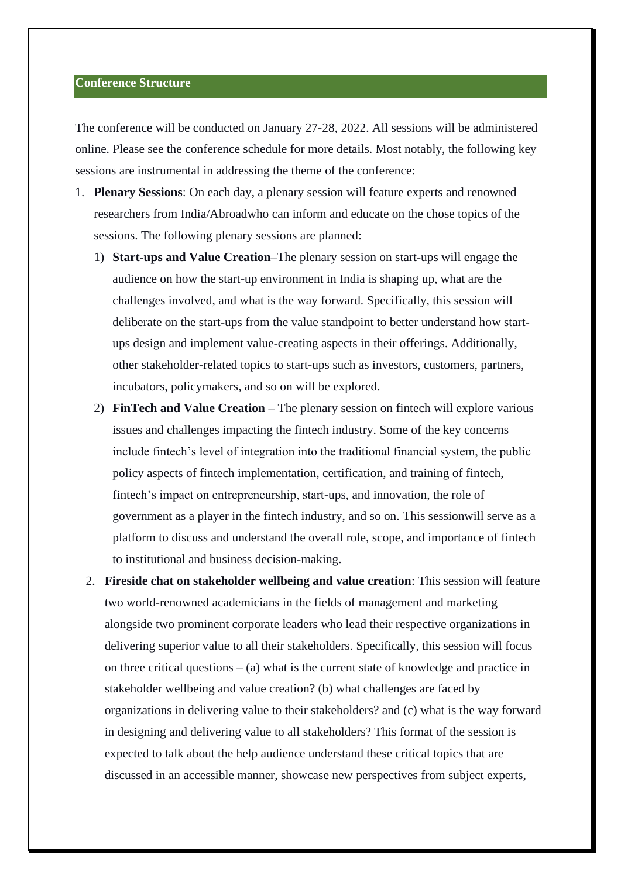## **Conference Structure**

The conference will be conducted on January 27-28, 2022. All sessions will be administered online. Please see the conference schedule for more details. Most notably, the following key sessions are instrumental in addressing the theme of the conference:

- 1. **Plenary Sessions**: On each day, a plenary session will feature experts and renowned researchers from India/Abroadwho can inform and educate on the chose topics of the sessions. The following plenary sessions are planned:
	- 1) **Start-ups and Value Creation**–The plenary session on start-ups will engage the audience on how the start-up environment in India is shaping up, what are the challenges involved, and what is the way forward. Specifically, this session will deliberate on the start-ups from the value standpoint to better understand how startups design and implement value-creating aspects in their offerings. Additionally, other stakeholder-related topics to start-ups such as investors, customers, partners, incubators, policymakers, and so on will be explored.
	- 2) **FinTech and Value Creation**  The plenary session on fintech will explore various issues and challenges impacting the fintech industry. Some of the key concerns include fintech's level of integration into the traditional financial system, the public policy aspects of fintech implementation, certification, and training of fintech, fintech's impact on entrepreneurship, start-ups, and innovation, the role of government as a player in the fintech industry, and so on. This sessionwill serve as a platform to discuss and understand the overall role, scope, and importance of fintech to institutional and business decision-making.
	- 2. **Fireside chat on stakeholder wellbeing and value creation**: This session will feature two world-renowned academicians in the fields of management and marketing alongside two prominent corporate leaders who lead their respective organizations in delivering superior value to all their stakeholders. Specifically, this session will focus on three critical questions  $-$  (a) what is the current state of knowledge and practice in stakeholder wellbeing and value creation? (b) what challenges are faced by organizations in delivering value to their stakeholders? and (c) what is the way forward in designing and delivering value to all stakeholders? This format of the session is expected to talk about the help audience understand these critical topics that are discussed in an accessible manner, showcase new perspectives from subject experts,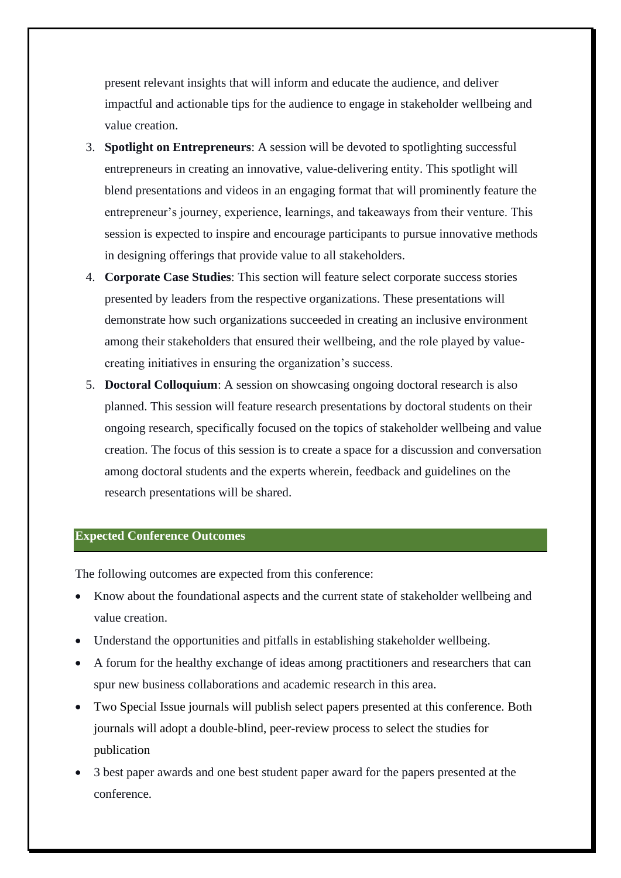present relevant insights that will inform and educate the audience, and deliver impactful and actionable tips for the audience to engage in stakeholder wellbeing and value creation.

- 3. **Spotlight on Entrepreneurs**: A session will be devoted to spotlighting successful entrepreneurs in creating an innovative, value-delivering entity. This spotlight will blend presentations and videos in an engaging format that will prominently feature the entrepreneur's journey, experience, learnings, and takeaways from their venture. This session is expected to inspire and encourage participants to pursue innovative methods in designing offerings that provide value to all stakeholders.
- 4. **Corporate Case Studies**: This section will feature select corporate success stories presented by leaders from the respective organizations. These presentations will demonstrate how such organizations succeeded in creating an inclusive environment among their stakeholders that ensured their wellbeing, and the role played by valuecreating initiatives in ensuring the organization's success.
- 5. **Doctoral Colloquium**: A session on showcasing ongoing doctoral research is also planned. This session will feature research presentations by doctoral students on their ongoing research, specifically focused on the topics of stakeholder wellbeing and value creation. The focus of this session is to create a space for a discussion and conversation among doctoral students and the experts wherein, feedback and guidelines on the research presentations will be shared.

#### **Expected Conference Outcomes**

The following outcomes are expected from this conference:

- Know about the foundational aspects and the current state of stakeholder wellbeing and value creation.
- Understand the opportunities and pitfalls in establishing stakeholder wellbeing.
- A forum for the healthy exchange of ideas among practitioners and researchers that can spur new business collaborations and academic research in this area.
- Two Special Issue journals will publish select papers presented at this conference. Both journals will adopt a double-blind, peer-review process to select the studies for publication
- 3 best paper awards and one best student paper award for the papers presented at the conference.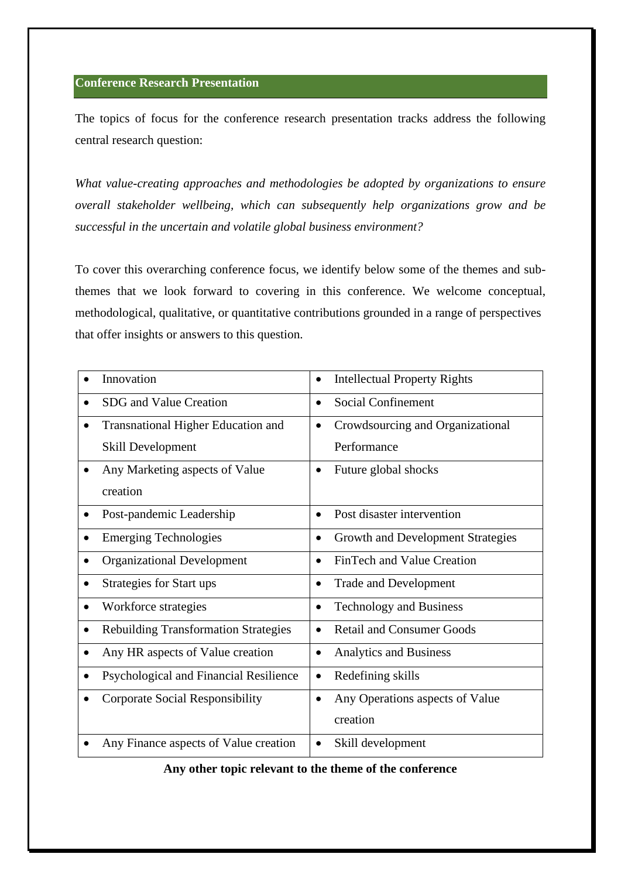# **Conference Research Presentation**

The topics of focus for the conference research presentation tracks address the following central research question:

*What value-creating approaches and methodologies be adopted by organizations to ensure overall stakeholder wellbeing, which can subsequently help organizations grow and be successful in the uncertain and volatile global business environment?*

To cover this overarching conference focus, we identify below some of the themes and subthemes that we look forward to covering in this conference. We welcome conceptual, methodological, qualitative, or quantitative contributions grounded in a range of perspectives that offer insights or answers to this question.

| Innovation                                  | <b>Intellectual Property Rights</b><br>$\bullet$ |
|---------------------------------------------|--------------------------------------------------|
| SDG and Value Creation                      | <b>Social Confinement</b><br>$\bullet$           |
| <b>Transnational Higher Education and</b>   | Crowdsourcing and Organizational<br>$\bullet$    |
| Skill Development                           | Performance                                      |
| Any Marketing aspects of Value              | Future global shocks                             |
| creation                                    |                                                  |
| Post-pandemic Leadership                    | Post disaster intervention                       |
| <b>Emerging Technologies</b>                | Growth and Development Strategies<br>$\bullet$   |
| <b>Organizational Development</b>           | FinTech and Value Creation                       |
| Strategies for Start ups                    | <b>Trade and Development</b>                     |
| Workforce strategies<br>٠                   | <b>Technology and Business</b><br>$\bullet$      |
| <b>Rebuilding Transformation Strategies</b> | <b>Retail and Consumer Goods</b>                 |
| Any HR aspects of Value creation            | <b>Analytics and Business</b><br>$\bullet$       |
| Psychological and Financial Resilience      | Redefining skills                                |
| <b>Corporate Social Responsibility</b>      | Any Operations aspects of Value                  |
|                                             | creation                                         |
| Any Finance aspects of Value creation       | Skill development<br>$\bullet$                   |

**Any other topic relevant to the theme of the conference**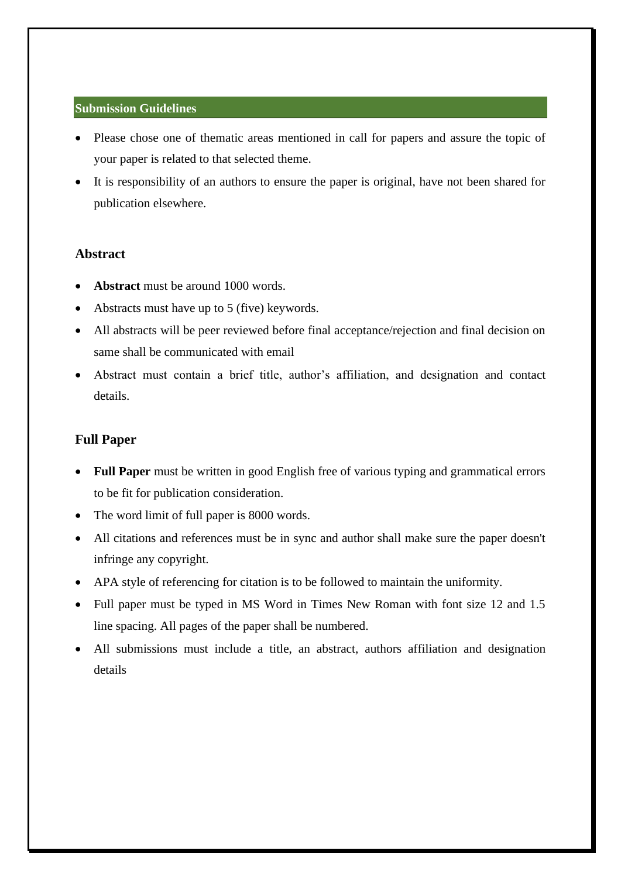## **Submission Guidelines**

- Please chose one of thematic areas mentioned in call for papers and assure the topic of your paper is related to that selected theme.
- It is responsibility of an authors to ensure the paper is original, have not been shared for publication elsewhere.

# **Abstract**

- Abstract must be around 1000 words.
- Abstracts must have up to 5 (five) keywords.
- All abstracts will be peer reviewed before final acceptance/rejection and final decision on same shall be communicated with email
- Abstract must contain a brief title, author's affiliation, and designation and contact details.

# **Full Paper**

- **Full Paper** must be written in good English free of various typing and grammatical errors to be fit for publication consideration.
- The word limit of full paper is 8000 words.
- All citations and references must be in sync and author shall make sure the paper doesn't infringe any copyright.
- APA style of referencing for citation is to be followed to maintain the uniformity.
- Full paper must be typed in MS Word in Times New Roman with font size 12 and 1.5 line spacing. All pages of the paper shall be numbered.
- All submissions must include a title, an abstract, authors affiliation and designation details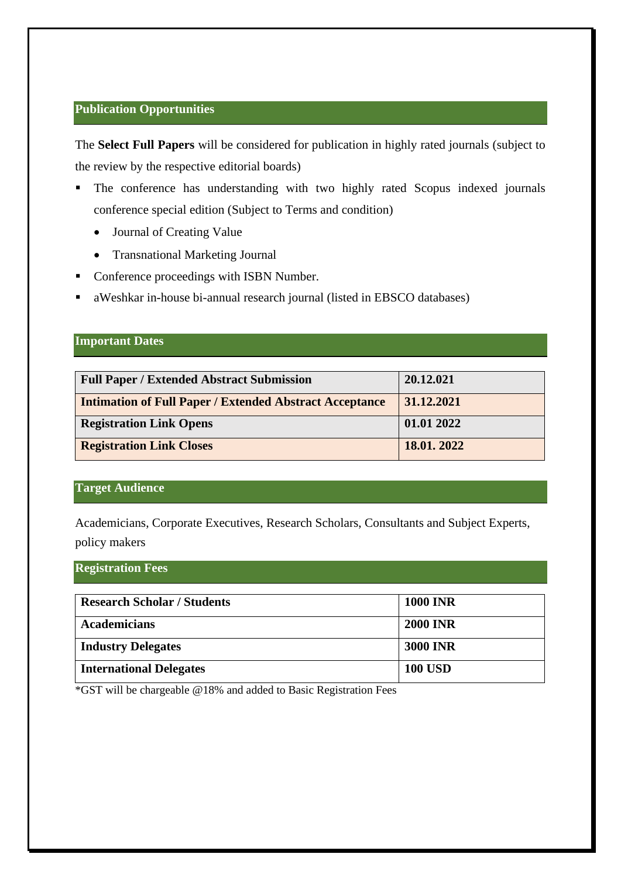# **Publication Opportunities**

The **Select Full Papers** will be considered for publication in highly rated journals (subject to the review by the respective editorial boards)

- **•** The conference has understanding with two highly rated Scopus indexed journals conference special edition (Subject to Terms and condition)
	- Journal of Creating Value
	- Transnational Marketing Journal
- Conference proceedings with ISBN Number.
- aWeshkar in-house bi-annual research journal (listed in EBSCO databases)

## **Important Dates**

| <b>Full Paper / Extended Abstract Submission</b>               | 20.12.021  |
|----------------------------------------------------------------|------------|
| <b>Intimation of Full Paper / Extended Abstract Acceptance</b> | 31.12.2021 |
| <b>Registration Link Opens</b>                                 | 01.01 2022 |
| <b>Registration Link Closes</b>                                | 18.01.2022 |

## **Target Audience**

Academicians, Corporate Executives, Research Scholars, Consultants and Subject Experts, policy makers

# **Registration Fees**

| <b>Research Scholar / Students</b> | <b>1000 INR</b> |
|------------------------------------|-----------------|
| <b>Academicians</b>                | <b>2000 INR</b> |
| <b>Industry Delegates</b>          | <b>3000 INR</b> |
| <b>International Delegates</b>     | <b>100 USD</b>  |

\*GST will be chargeable @18% and added to Basic Registration Fees